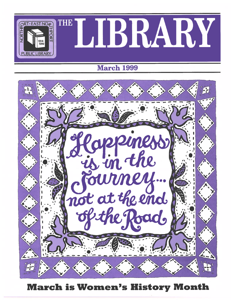

# March 1999



March is Women's History Month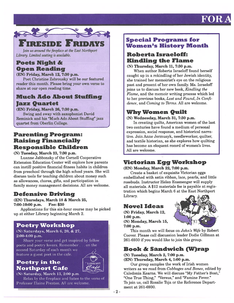# FOR



Join us around the fireplace at the East Northport Library. Limited seating is available.

## Poets Night & Open Reading

(EN) Friday, March 12, 7:30 p.m.

Poet Christine Zabrousky will be our featured reader this month. Please bring your own verse to share at our open reading time.

## Much Ado About Stuffing Jazz Quartet

(EN) Friday, March 26, 7:30 p.m.

Swing and sway with saxophonist David Reminick and his "Much Ado About Stuffing" jazz quartet from Oberlin College.

### Parenting Program: Raising Financially Responsible Children

(N) Tuesday, March 23, 7:30 p.m.

Luanne Jabbonsky of the Cornell Cooperative Extension Education Center will explore how parents can instill positive financial fitness habits in children from preschool through the high school years. She will discuss tools for teaching children about money such as allowances, chores, gifts, and participation in family money managemen<sup>t</sup> decisions. All are welcome.

## Defensive Driving

(EN) Thursdays, March 18 & March 25, 7:00-10:00 p.m. **Fee: \$30** 

Applications for this six-hour course may be picked up at either Library beginning March 2.

## Poetry Workshop

(N) Saturdays, March 6, 20, & 27, 2:00-4:00 p.m.

Share your verse and ge<sup>t</sup> inspired by fellow poets and poetry lovers. Remember. . . on the second Saturday of each month we feature <sup>a</sup> gues<sup>t</sup> poe<sup>t</sup> in the cafe.

### Poetry in the  $\overline{\phantom{a}}$   $\overline{\phantom{a}}$   $\overline{\phantom{a}}$   $\overline{\phantom{a}}$   $\overline{\phantom{a}}$   $\overline{\phantom{a}}$   $\overline{\phantom{a}}$   $\overline{\phantom{a}}$   $\overline{\phantom{a}}$   $\overline{\phantom{a}}$   $\overline{\phantom{a}}$   $\overline{\phantom{a}}$   $\overline{\phantom{a}}$   $\overline{\phantom{a}}$   $\overline{\phantom{a}}$   $\overline{\phantom{a}}$   $\overline{\phantom{a}}$   $\over$ Northport Cafe



(N) Saturday, March 13, 2:00 p.m Relax by the fireplace and listen to the verse of Professor Elaine Preston. All are welcome.

#### Special Programs for Women's History Month

### Roberta Israeloff: Kindling the Flame

(N) Thursday, March 11, 7:30 p.m.

When author Roberta Israeloff found herself caught up in <sup>a</sup> rekindling of her Jewish identity, she trained her memoirist's eye on the religious pas<sup>t</sup> and presen<sup>t</sup> of her own family. Ms. Israeloff joins us to discuss her new book, Kindling the Flame, and the memoir writing process which led to her previous books, Lost and Found, In Confi dence, and Coming to Terms. All are welcome.

# Why Women Quilt

(N) Wednesday, March 31, 7:30 p.m.

In creating quilts, American women of the last two centuries have found <sup>a</sup> medium of personal expression, social response, and historical narra tive. Join Anne Jermusyk, needleworker, quilter, and textile historian, as she explores how quilting has become an eloquent record of women's lives. All are welcome.

## Victorian Egg Workshop

#### (EN) Monday, March 22, 7:00 p.m.

Create <sup>a</sup> basket of exquisite Victorian eggs embellished with satin ribbon, lace, pearls, and little rosebuds. Instructor Helen Ensmenger will supply all materials. A \$12 materials fee is payable at regis tration which begins March <sup>6</sup> at the East Northport Library

## Novel Ideas

(N) Friday, March 12, 1:00 p.m. (N) Monday, March 15, 7:00 p.m.



This month we will focus on *John's Wife* by Robert Coover. Please call discussion leader Dodie Gillman at 261-6930 if you would like to join this group.

## Book & Sandwich (W)rap

(N) Tuesday, March 2, 7:00 p.m.

(EN) Thursday, March 4, 1:00 p.m.

Our group samples the work of Irish women writers as we read from Cabbages and Bones, edited by Caledonia Kearns. We will discuss "My Father's Boat," "One True Thing," "Versus," and "Famine Fever." To join us, call Rosalie Toja or the Reference Depart ment at 261-6930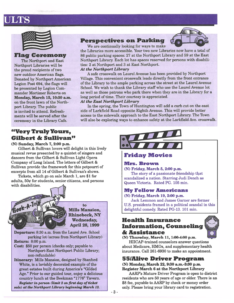# JLTS

| × |  |
|---|--|
|   |  |
|   |  |
|   |  |
|   |  |
|   |  |

Flag Ceremony

The Northport and East Northport Libraries will be the proud recipients of two new outdoor American flags. Donated by Northport American Legion Post 694, the flags will be presented by Legion Com mander Mortimer Roberts onMonday, March 15, 10:30 a.m. on the front lawn of the Northport Library. The public is invited to attend. Refresh ments will be served after the ceremony in the Library Cafe.

### "Very Truly Yours, Gilbert & Sullivan"

(N) Sunday, March 7, 2:00 p.m.

Gilbert & Sullivan lovers will delight in this lively musical revue presented by <sup>a</sup> quintet of singers and dancers from the Gilbert & Sullivan Light Opera Company of Long Island. The letters of Gilbert & Sullivan provide the framework for this potpourri of excerpts from all 14 of Gilbert & Sullivan's shows.

Tickets, which go on sale March 1, are \$1 for adults,  $50¢$  for students, senior citizens, and persons with disabilities.



toMills Mansion, Rhinebeck, NY Wednesday, April 28, 1999

Departure: 8:30 a.m. from the Laurel Ave. School parking lot (across from Northport Library) Return: 8:00 p.m.

- Cost: \$50 per person (checks only; payable to Northport-East Northport Public Library; non-refundable)
- Itinerary: Mills Mansion, designed by Stanford White, is <sup>a</sup> lavishly decorated example of the grea<sup>t</sup> estates built during America's "Gilded Age." Prior to our guided tour, enjoy <sup>a</sup> delicious country lunch at the Beekman "1776" Tavern. Register in person (limit 2 on first day of ticket sale) at the Northport Library beginning March 13.





We are continually looking for ways to make the Libraries more accessible. Your two new Libraries now have <sup>a</sup> total of 86 public parking spaces: <sup>27</sup> at the Northport Library and 59 at the East Northport Library. Each lot has spaces reserved for persons with disabili ties: 2 at Northport and 3 at East Northport.

#### At the Northport Library

A safe crosswalk on Laurel Avenue has been provided by Northport Village. This convenient crosswalk leads directly from the front entrance of the Library to the ample parking across the street at the Laurel Avenue School. We wish to thank the Library staff who use the Laurel Avenue lot as well as those patrons who par<sup>k</sup> there when they are in the Library for <sup>a</sup> long period of time. Their courtesy is appreciated.

#### At the East Northport Library

In the spring, the Town of Huntington will add <sup>a</sup> curb cut on the east side of Larkfield Road opposite Eighth Avenue. This will provide better access to the sidewalk approach to the East Northport Library. The Town will also be exploring ways to enhance safety at the Larkfield Ave. crosswalk.



#### Friday Movies

#### Mrs. Brown

(N) Friday, March 5, 2:00 p.m.

The story of <sup>a</sup> passionate friendship that scandalized a nation. Starring Judi Dench as Queen Victoria. Rated PG. 105 min.

#### My Fellow Americans

(N) Friday, March 19, 2:00 p.m.

Jack Lemmon and James Garner are former U.S. presidents framed in <sup>a</sup> political scandal in this delightful comedy. Rated PG-13. 101 min.

#### Health Insurance Information, Counseling & Assistance



#### (N) Thursday, March 11, 1:00-4:00 p.m.

HIICAP-trained counselors answer questions about Medicare, HMOs, and supplementary health insurance. Call 261-6930 to make an appointment.

#### 55IAlive Driver Program (N) Monday, March 22, 9:30 a.m.-3:30 p.m.

Register March 6 at the Northport Library

AARP's Mature Driver Program is open to district residents who are 50 years of age or older. There is an \$8 fee, payable to AARP by check or money order only. Please bring your library card to registration.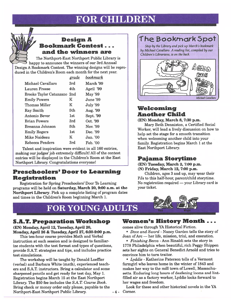# FOR CHILDREN

### Design A Bookmark Contest - - and the winners are

The Northport-East Northport Public Library is happy to announce the winners of our 3rd Annual Design <sup>A</sup> Bookmark Contest. The winning designs will be repro duced in the Children's Room each month for the next year.

|                             | <u>grade</u> | bookmark  |
|-----------------------------|--------------|-----------|
| Michael Cavallaro           | 3rd          | March '99 |
| <b>Lauren Freese</b>        | 4th          | April '99 |
| Brooke Taylor Catanzano 2nd |              | May '99   |
| <b>Emily Powers</b>         | K            | June '99  |
| Thomas Miller               | K            | July '99  |
| Ray Smith                   | 5th          | Aug. '99  |
| Antonio Bever               | 1st          | Sept. '99 |
| <b>Brian Powers</b>         | 3rd          | Oct. '99  |
| Breanna Johnson             | 5th          | Nov. '99  |
| <b>Emily Rogers</b>         | 1st          | Dec. '99  |
| <b>Mike Naideau</b>         | K            | Jan. '00  |
| <b>Rebecca Penders</b>      | 3rd          | Feb. '00  |

Talent and inspiration were evident in all 160 entries, making our judges'job extremely difficult! All of the contest entries will be displayed in the Children's Room at the East Northport Library. Congratulations everyone!

### Preschoolers' Door to Learning Registration

Registration for Spring Preschoolers' Door To Learning programs will be held on Saturday, March 20, 9:00 a.m. at the Northport Library. Pick up <sup>a</sup> complete listing of program dates and times in the Children's Room beginning March 1.

# **FOR YOUNG ADULTS**

4

## S.A.T. Preparation Workshop

(EN) Monday, April 12, Tuesday, April 20, Monday, April 26 & Tuesday, April 27, 6:30-9:00 p.m.

This ten-hour course provides Math and Verbal instruction at each session and is designed to familiar ize students with the test format and types of questions, provide S.A.T. strategies and tips, and includes practice test simulations.

The workshop will be taught by Donald Loeffler (verbal) and Barbara White (math), experienced teach ers and S.A.T. instructors. Bring <sup>a</sup> calculator and some sharpened pencils and ge<sup>t</sup> ready for test day, May 1. Registration begins March 15 at the East Northport Library. The \$50 fee includes the S.A.T. Course Book. Bring check or money order only please, payable to the Northport-East Northport Public Library

# The Bookmark Spot

Stop by the Library and pick up March's bookmark by Michael Cavallaro. A reading list, compiled by our Children's Librarians, is on the back.



## Welcoming Another Child

(EN) Monday, March 8, 7:30 p.m.

Mary Beth Denniston, <sup>a</sup> Certified Social Worker, will lead <sup>a</sup> lively discussion on how to help set the stage for <sup>a</sup> smooth transition when welcoming another child into your family. Registration begins March 1 at the East Northport Library.

### Pajama Storytime

#### (EN) Tuesday, March 2, 7:00 p.m. (N) Friday, March 12, 7:00 p.m.

Children, ages 3 and up, may wear their PJs to this half-hour, parent/child storytime. No registration required — your Library card is your ticket.



### Women's History Month - -.

comes alive through YA Historical Fiction.

• *Dove and Sword* - Nancy Garden tells the story of  ${\rm Joan}$  of  ${\rm Arc}$  — her life, mission, trial, and execution.

•  $\emph{Finishing Becca}$  - Ann Rinaldi sets the story in 1778 Philadelphia when beautiful, rich Peggy Shippen sets her sights on General Benedict Arnold and tries to convince him to turn traitor.

• Lyddie - Katherine Paterson tells of <sup>a</sup> Vermont farmgirl who leaves home in the winter of 1843 and makes her way to the mill town of Lowell, Massachu setts. Enduring long hours of deafening looms and lintfilled air as <sup>a</sup> factory worker, Lyddie looks forward to her wages and freedom.

Look for these and other historical novels in the YA Corner.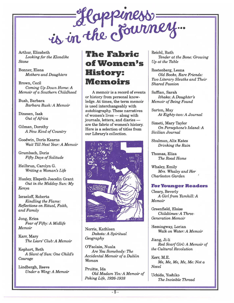

Arthur, Elizabeth Looking for the Kiondike Stone

Bonner, Elena Mothers and Daughters

Brown, Cecil Coming Up Down Home:A Memoir of a Southern Childhood

Bush, Barbara Barbara Bush: A Memoir

Dinesen, Isak Out of Africa

Gilman, Dorothy A New Kind of Country

Goodwin, Doris Kearns Wait 7ll Next Year: A Memoir

Grumbach, Doris Fifty Days of Solitude

Heilbrun, Carolyn G. Writing a Woman's Life

Huxley, Elspeth Joscelin Grant Out in the Midday Sun: My Kenya

Israeloff, Roberta Kindling the Flame: Reflections on Ritual, Faith, and Family

Jong, Erica Fear of Fifty: A Midlife Memoir

Karr, Mary The Liars' Club:A Memoir

Kephart, Beth A Slant of Sun: One Child's Courage

Lindbergh, Reeve Under a Wing: A Memoir

# The Fabric ofWomen'sHistory: Memoirs

A memoir is <sup>a</sup> record of events or history from personal know ledge. At times, the term memoir is used interchangeably with autobiography. These narratives of women's lives — along with journals, letters, and diaries are the fabric of women's history. Here is <sup>a</sup> selection of titles fromour Library's collection.



Norris, Kathleen Dakota: A Spiritua Geography

O'Faolain, Nuala Are You Somebody: The Accidental Memoir of a Dublin Woman

Pruitte, Ida Old Madam Yin: A Memoir of Peking Life, 1926-1938

Reichl, Ruth Tender at the Bone: Growing Up at the Table

Rostenberg, Leona Old Books, Rare Friends: Two Literary Sleuths and Their Shared Passion

Saffian, Sarah Ithaka: A Daughter's Memoir of Being Found

Sarton, May At Eighty-two: A Journal

Simeti, Mary Taylor On Persephone's Island: ASicilian Journal

Shulman, Mix Kates Drinking the Rain

Thomas, Eliza The Road Home

Whaley, Emily Mrs. Whaley and Her Charleston Garden

#### For Younger Readers

Cleary, Beverly A Girl from Yamhill: A Memoir

Greenfield, Eloise Childtimes: A Three Generation Memoir

Hemingway, Lorian Walk on Water: A Memoir

Jiang, Ji-li Red Scarf Girl: A Memoir of the Cultural Revolution

Kerr, M.E. Me, Me, Me, Me, Me: Not o Nove.

Uchida, Yoshiko The Invisible Thread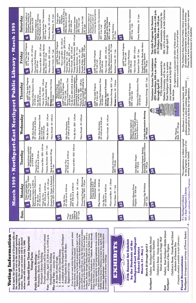| Í,                                                                                                |
|---------------------------------------------------------------------------------------------------|
|                                                                                                   |
|                                                                                                   |
|                                                                                                   |
|                                                                                                   |
|                                                                                                   |
|                                                                                                   |
|                                                                                                   |
|                                                                                                   |
| l                                                                                                 |
| <b>CONTRACT</b>                                                                                   |
|                                                                                                   |
|                                                                                                   |
|                                                                                                   |
|                                                                                                   |
|                                                                                                   |
|                                                                                                   |
| ׀<br>֧֪֪֪֪ׅ֧֦֧֦֧֦֦֧֦֧֦֛֪֦֧֦֧֦֧֦֧֦֧֦֧֦֧֦֧֦֧֦֧֦֧֦֧֧֧ׅ֘֕֘֬֘֘֘֓֓֬֓֓֬֓֓֬֓֓֬֓֓֬֓֓֓֬֓֓֓֜֓֓֓֬֓֞֓֓֓֓֓֓֓֓֓֩ |
|                                                                                                   |
| į                                                                                                 |
|                                                                                                   |
| <br> <br> <br>$\frac{1}{2}$                                                                       |
| ì                                                                                                 |
|                                                                                                   |
|                                                                                                   |
| (<br>L<br>F<br>ノートー しょうしょう                                                                        |
|                                                                                                   |
|                                                                                                   |
|                                                                                                   |
|                                                                                                   |
|                                                                                                   |
| י<br>ג                                                                                            |
|                                                                                                   |
|                                                                                                   |
|                                                                                                   |
|                                                                                                   |
|                                                                                                   |
|                                                                                                   |
|                                                                                                   |
|                                                                                                   |
|                                                                                                   |
|                                                                                                   |
|                                                                                                   |
|                                                                                                   |
|                                                                                                   |
|                                                                                                   |
|                                                                                                   |
|                                                                                                   |
|                                                                                                   |
|                                                                                                   |
|                                                                                                   |
|                                                                                                   |
|                                                                                                   |
| ו<br>י                                                                                            |
| į                                                                                                 |
|                                                                                                   |
|                                                                                                   |
|                                                                                                   |
|                                                                                                   |
|                                                                                                   |
|                                                                                                   |
|                                                                                                   |
|                                                                                                   |
|                                                                                                   |
|                                                                                                   |
|                                                                                                   |
|                                                                                                   |
|                                                                                                   |
|                                                                                                   |
|                                                                                                   |
|                                                                                                   |
|                                                                                                   |
|                                                                                                   |
|                                                                                                   |
|                                                                                                   |
|                                                                                                   |
|                                                                                                   |
|                                                                                                   |
|                                                                                                   |
|                                                                                                   |
|                                                                                                   |
|                                                                                                   |
|                                                                                                   |
|                                                                                                   |
|                                                                                                   |
|                                                                                                   |
|                                                                                                   |
|                                                                                                   |
|                                                                                                   |
|                                                                                                   |
|                                                                                                   |
|                                                                                                   |
|                                                                                                   |

|                                | Information<br>Voting                                                                                                                                                                                                          |
|--------------------------------|--------------------------------------------------------------------------------------------------------------------------------------------------------------------------------------------------------------------------------|
|                                | Each April, the Library Board of Trustees calls on<br>community to vote on the annual operating                                                                                                                                |
|                                | budget for the next fiscal year and to elect a                                                                                                                                                                                 |
|                                | will be elected<br>whose term will commence on July 1, 1999.<br>trustee. This year one trustee                                                                                                                                 |
|                                | You Should Know These Important<br>Voting Facts:                                                                                                                                                                               |
|                                | <b>Public Information Meeting</b>                                                                                                                                                                                              |
|                                | Wednesday, March 24, 7:00 p.m.<br>Northport Library Building.                                                                                                                                                                  |
|                                | Trustee candidates will be invited to attend.                                                                                                                                                                                  |
| Vote                           | April 13, 9:00 a.m. to 9:00 p.m.<br>, — Tuesday, April 13, 9:00<br>Northport Library Building                                                                                                                                  |
| <b>Who</b>                     | Can Vote - anyone who is                                                                                                                                                                                                       |
| $\mathbf{a}$<br>$\overline{1}$ | A citizen of the United States;<br>At least 18 years of age;                                                                                                                                                                   |
| ကဲ                             | A resident of the Northport-East Northport                                                                                                                                                                                     |
| $\overline{\mathbf{r}}$        | School District for at least 30 days;<br>Registered to vote.                                                                                                                                                                   |
|                                | If you have not voted within four years in a general, school,                                                                                                                                                                  |
|                                | the<br>Registration may be made in person prior to April 1 at<br>or library election, re-registration is required.                                                                                                             |
|                                |                                                                                                                                                                                                                                |
|                                |                                                                                                                                                                                                                                |
|                                |                                                                                                                                                                                                                                |
|                                |                                                                                                                                                                                                                                |
|                                |                                                                                                                                                                                                                                |
|                                | following locations: 1) any school in the district between the hours of 9:00 a.m. and 3:00 p.m., any day that school is in session; 2) the offices of the School District Clerk, 110 Elwood Road, Northport, Monday through Fr |
|                                | are available in both library buildings.                                                                                                                                                                                       |
|                                | IE EI<br>7<br>$\boldsymbol{\lambda}$<br>h.                                                                                                                                                                                     |
|                                |                                                                                                                                                                                                                                |
|                                | Annual Art Exhibit<br><b>27th</b>                                                                                                                                                                                              |
|                                | <b>Students of the</b><br>by the                                                                                                                                                                                               |
|                                | Northport-East Northport                                                                                                                                                                                                       |
|                                | March 22 - May 7<br><b>School District</b>                                                                                                                                                                                     |
|                                | March 22 through April 2                                                                                                                                                                                                       |
| Northpor                       | School<br>students of Nancy Staebler<br>Gallery: Northport Middle                                                                                                                                                              |
|                                | School students of Peggy Wolf<br>Ocean Avenue<br>Children's Room:                                                                                                                                                              |
| Northport<br>East              | Gallery: East Northport Middle School<br>students of Ken Nygren                                                                                                                                                                |
|                                | Children's Room: Pulaski Road School<br>students of Suzanna Hsu                                                                                                                                                                |
|                                | (Complete schedule available at both Libraries.)                                                                                                                                                                               |
|                                | <b>Floral Decorations:</b>                                                                                                                                                                                                     |
|                                | Northport: Arrangement courtesy of Flower Basket.                                                                                                                                                                              |

|                                  |                                                                                                                                                                        | ä                                                                                                                                                  |                                                                                                                              |                                                                                                                                                                                              |                                                                                                                            |                                                                                                                                                                               |
|----------------------------------|------------------------------------------------------------------------------------------------------------------------------------------------------------------------|----------------------------------------------------------------------------------------------------------------------------------------------------|------------------------------------------------------------------------------------------------------------------------------|----------------------------------------------------------------------------------------------------------------------------------------------------------------------------------------------|----------------------------------------------------------------------------------------------------------------------------|-------------------------------------------------------------------------------------------------------------------------------------------------------------------------------|
| Sun.                             | Monday                                                                                                                                                                 | Tuesday                                                                                                                                            | $\blacktriangleright$<br>Wednesda                                                                                            | Thursday                                                                                                                                                                                     | Friday                                                                                                                     | Saturday                                                                                                                                                                      |
|                                  | "Very Truly Yours, Gilbert<br>& Sullivan" on 3/7<br>Registration begins at EN for<br>Welcoming Another Child on 3/8<br>Ticket sales begin for<br>$\blacktriangleright$ | Applications available for Defensive Driving<br>on 3/18 & 3/25<br>les for Two<br>9:30 am & 10:30 am<br>$^{*Tades}_{\Lambda 0}$ 9:3<br>$\mathbf{z}$ | *My First Storytime<br>(N) 9:30 am & 10:30 am<br>M                                                                           | AARP Tax-Aide Program<br>(EN) 9 am-1 pm<br>*Parent/Child Discovery Time<br>$(N)$ 9:30 am<br>ď                                                                                                | <b>AARP</b> Tax-Aide Program<br>*Fours and More $(N)$ 9:30 am<br>*Parent / Child Workshop<br>$(N)$ 9 am-1 pm<br><b>SD</b>  | Northport Library for<br>55/Alive Mature Driver<br>Registration begins at<br>Registration begins at<br>East Northport for Victorian<br>Program on 3/22<br>$\bullet$           |
|                                  | (EN) 9:30 am & 10:30 am<br>$(N)$ 9:30 am & 10:30 am<br>*Tales for Two<br>*On My Own                                                                                    | *Fours and More (EN) 9:30 am                                                                                                                       | <b>Free Blood Pressure Check</b><br>(N) 1-2:15 pm<br>(EN) 2:30-4 pm                                                          | *Tales for Two $(EN)$ 1:30 pm<br>(EN) 9:30 & 10:30 am<br>*On My Own                                                                                                                          | Friday Afternoon at the Movies:<br>*Fours and More (EN) 1:30 pm<br>(EN) 9:30 am                                            | Volunteer Income Tax Assistance<br>Egg Workshop on 3/22                                                                                                                       |
|                                  | Reception for Design A Bookmark<br>Contest (EN) 7:30 pm by invitation<br>*Fours and More $(N)$ 1:30 pm                                                                 | Pajama Storytime (EN) 7 pm<br>*Book & Sandwich (W)rap<br>$(M)$ 7 pm                                                                                | *On My Own (EN) 1:30 pm<br>3:30~pm<br>*Story Parade (N)                                                                      | <b>NETWALK</b> Internet User Group<br>*Book & Sandwich (W)rap<br>(N) 7:30 pm<br>$(BN)$ 1 pm                                                                                                  | *Story Parade (EN) 3:30 pm<br>Knitters' Circle (N) 7 pm<br>Mrs. Brown (N) 2 pm                                             | Poetry Workshop (N) 2 pm<br>*Museum Day $(N)$ 9:30 am<br>(EN) 9 am-1 pm                                                                                                       |
| 2                                | $\boldsymbol{\alpha}$                                                                                                                                                  | <u>ရ</u>                                                                                                                                           | $\overline{\mathbf{C}}$                                                                                                      | <b>Exercise And American</b><br>Philadelphia Flower<br>Show departs 7:30 am<br>AARP Tax-Aide Program<br>$\overline{11}$                                                                      | *Fours and More $(N)$ 9:30 am<br>AARP Tax-Aide Program<br>$(N)$ 9 am-1 pm<br>12                                            | begin at<br>Northport<br>Library for Book-A-Trip to<br>Ticket sales<br>$\overline{3}$                                                                                         |
| *"Very                           | *On My Own<br>(N) 9:30 am & 10:30 am                                                                                                                                   | *Tales for Two<br>(N) 9:30 am & 10:30 am                                                                                                           | *My First Storytime<br>(N) 9:30 am & 10:30 am                                                                                | *Parent / Child Discovery Time<br>mo<br>$(EN)$ 9 am-1                                                                                                                                        | *Parent/Child Workshop (EN) 9:30 am<br>*Novel Ideas (N) 1 pm<br>*Fours and More (EN)                                       | Mills Mansion on 4/28                                                                                                                                                         |
| Gilbert &<br>Yours,<br>Truly     | *Tales for Two<br>(EN) 9:30 am & 10:30 am                                                                                                                              | *Fours and More (EN) 9:30 am                                                                                                                       | pm<br>*On My Own (EN) 1:30                                                                                                   | *On My Own (EN) 9:30 & 10:30 am<br>$(N)$ 9:30 am                                                                                                                                             | *Young Adult Book Reviewers (EN) 4-5 pm<br>1:30~pm<br>*Story Parade (EN) 3:30 pm                                           | *Saturday Storytime<br>Volunteer Income<br>am<br>9.30<br>$(\mathbb{E}N)$                                                                                                      |
| $b$ -and<br>Sullivan" $(N)$ 2 pm | *Parenting Program: Welcoming<br>Another Child (EN) 7:30 pm<br>*Fours and More (N) 1:30 pm                                                                             |                                                                                                                                                    | $3.30\,pm$<br>*Story Parade (N)                                                                                              | *Health Insurance Information,<br>Counseling & Assistance Program<br>(N) 1-4 pm by appt.<br>*Tales for Two $\overline{(EN)}$ 1:30 pm<br>Roberta Israeloff: Kindling the<br>Flame (N) 7:30 pm | Fireside Friday: Poets Night<br>& Open Reading (EN) 7:30 pm<br>Pajama Storytime (N) 7 pm<br>Knitters' Circle (N) 7 pm      | Poetry in the Cafe<br>(EN) 9 am-1 pm<br>Tax Assistance<br>$(N)$ 2 pm                                                                                                          |
| $\overline{a}$                   | $\frac{3}{2}$                                                                                                                                                          | $\frac{1}{2}$                                                                                                                                      | 27                                                                                                                           | $\frac{8}{18}$                                                                                                                                                                               | $\overline{5}$                                                                                                             | Registration begins at<br>Northport Library for<br>$\overline{2}$                                                                                                             |
|                                  | Registration begins for<br>Young Adult S.A.T.<br>Preparation Workhop                                                                                                   |                                                                                                                                                    |                                                                                                                              | <b>AARP Tax-Aide Program</b><br>$(RN)$ 9 am-1 pm                                                                                                                                             | AARP Tax-Aide Program<br>$(N)$ 9 am-1 pm                                                                                   | Learning Spring programs<br>Preschooler's Door to                                                                                                                             |
|                                  | Flag Ceremony (N) 10:30 am                                                                                                                                             |                                                                                                                                                    | *My First Storytime<br>(N) 9:30 am & 10:30 am                                                                                | *Parent/Child Discovery Time<br>$(N)$ 9:30 $am$                                                                                                                                              | *Parent/Child Workshop<br>$EN$ 9:30 $am$                                                                                   | Volunteer Income Tax Assistance<br>$\left( \mathrm{EN}\right)$ 9 am-1 pm                                                                                                      |
|                                  | *On My Own<br>(N) 9:30 am & 10:30 am                                                                                                                                   |                                                                                                                                                    | 3:30~pm<br>$\mathcal{S}$<br>*Story Parade                                                                                    | Library Board of Trustees<br>Meeting (N)                                                                                                                                                     | $(EN)$ 3:30 pm<br>*Story Parade                                                                                            | <b>Book Sale Today by<br/>Friends of the Library</b>                                                                                                                          |
|                                  | *Fours and More (N) 1:30 pm                                                                                                                                            |                                                                                                                                                    |                                                                                                                              | *Defensive Driving (EN) 7 pm                                                                                                                                                                 | My Fellow Americans (N) 2 pm<br>Friday Afternoon at the Movies:                                                            | (EN) 11 am - 3 pm                                                                                                                                                             |
|                                  | $7\,\mathrm{pm}$<br>*Novel Ideas (N)                                                                                                                                   | Friends of the Library<br>(EN) 7:30 pm                                                                                                             |                                                                                                                              | NETWALK Basics (N) 7:30 pm                                                                                                                                                                   | Knitters' Circle (N) 7 pm                                                                                                  | Poetry Workshop $\cdot$ (N) 2 pm                                                                                                                                              |
| $\frac{1}{2}$                    | $\overline{22}$                                                                                                                                                        | $\overline{23}$                                                                                                                                    | $\overline{24}$                                                                                                              | 25                                                                                                                                                                                           | AARP Tax-Aide Program<br>(N) 9 am-1 pm<br>$\frac{2}{5}$                                                                    | 27                                                                                                                                                                            |
|                                  |                                                                                                                                                                        |                                                                                                                                                    | Registration begins at                                                                                                       | AARP Tax-Aide Program<br>$(EN)$ 9 am-1 pm                                                                                                                                                    | *Parent/Child Workshop<br>$9.30$ am<br>(EN)                                                                                | Volunteer Income Tax Assistance<br>$(KN)$ 9 am - 1 pm                                                                                                                         |
|                                  | *55/Alive Mature Driver<br>Program (N) 9:30 am                                                                                                                         | Oral History Project<br>$7:30$ pm<br>$\widehat{\mathsf{g}}$                                                                                        | Northport Library for<br>Having Your Child's Birthday<br>Party at Home on 4/7                                                | *Parent/Child Discovery Time<br>$(N)$ 9:30 $am$                                                                                                                                              | *Story Parade (EN) 3:30 pm<br>Knitters' Circle (N) 7 pm                                                                    | Poetry Workshop (N) 2 pm                                                                                                                                                      |
|                                  | *Victorian Egg Workshop<br>7 pm<br>(EN)                                                                                                                                | Parenting Program: Raising<br>Financially Responsible Children<br>(N) 7:30 pm                                                                      | Public Information Meeting<br>(N) 7:00 pm                                                                                    | *Defensive Driving (EN) 7 pm                                                                                                                                                                 | Fireside Friday: Much Ado About<br>Stuffing Jazz Quartet<br>(EN) 7:30 pm                                                   |                                                                                                                                                                               |
| $\overline{28}$                  | $\bf{S}$                                                                                                                                                               | $\frac{1}{3}$                                                                                                                                      | న్ని<br>6                                                                                                                    | (EN) Saturdays, 9:00 a.m.-1:00 p.m.<br>Volunteer Income Tax Assistance                                                                                                                       |                                                                                                                            | (EN) Thursdays, 9:00 a.m.-1:00 p.m.<br><b>Tax-Aide Program for Seniors</b>                                                                                                    |
|                                  |                                                                                                                                                                        |                                                                                                                                                    | W)<br>Ë                                                                                                                      | VITA volunteers, sponsored by<br>East Northport Library to answer<br>Hofstra University, will be at the<br>through April 10                                                                  | through April 15.                                                                                                          | IRS, will be available at both Libraries<br>AARP counselors, trained by the<br>(N) Fridays, 9:00 a.m.-1:00 p.m                                                                |
|                                  |                                                                                                                                                                        |                                                                                                                                                    |                                                                                                                              | your questions and to help fill out<br>tax forms.                                                                                                                                            |                                                                                                                            |                                                                                                                                                                               |
|                                  |                                                                                                                                                                        |                                                                                                                                                    | Why Women<br>Quilt (N) 7:30 pm                                                                                               |                                                                                                                                                                                              | Assistance is available on a first-come, first-served basis.<br>No registration is necessary for either of these services. |                                                                                                                                                                               |
| KN<br>$\mathbf{z}$<br>$\bullet$  | Italic type indicates Children's Programs.<br>= East Northport Library<br>= Northport Library                                                                          | *Pre-registration or tickets required<br>Occupancy of our<br>meeting room is limited.<br>for this program.                                         | preference given to district residents. Tickets limited<br>Enrollment in our programs is limited, with<br>to 2 per patron on | ¢<br>$\overline{7}$<br>the first day of registration.                                                                                                                                        | accommodations because of a disability.                                                                                    | The Northport-East Northport Public Library encourages<br>Please let us know in advance if you require any special<br>all residents to participate in programs and activities |